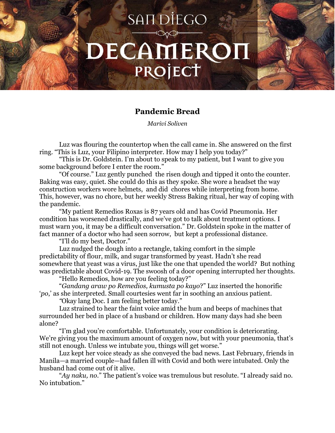## SAIT DIEGO DECAMEROI PROJECT

## **Pandemic Bread**

*Marivi Soliven*

Luz was flouring the countertop when the call came in. She answered on the first ring. "This is Luz, your Filipino interpreter. How may I help you today?"

"This is Dr. Goldstein. I'm about to speak to my patient, but I want to give you some background before I enter the room."

"Of course." Luz gently punched the risen dough and tipped it onto the counter. Baking was easy, quiet. She could do this as they spoke. She wore a headset the way construction workers wore helmets, and did chores while interpreting from home. This, however, was no chore, but her weekly Stress Baking ritual, her way of coping with the pandemic.

"My patient Remedios Roxas is 87 years old and has Covid Pneumonia. Her condition has worsened drastically, and we've got to talk about treatment options. I must warn you, it may be a difficult conversation." Dr. Goldstein spoke in the matter of fact manner of a doctor who had seen sorrow, but kept a professional distance.

"I'll do my best, Doctor."

Luz nudged the dough into a rectangle, taking comfort in the simple predictability of flour, milk, and sugar transformed by yeast. Hadn't she read somewhere that yeast was a virus, just like the one that upended the world? But nothing was predictable about Covid-19. The swoosh of a door opening interrupted her thoughts.

"Hello Remedios, how are you feeling today?"

"*Gandang araw po Remedios, kumusta po kayo*?" Luz inserted the honorific '*po*,' as she interpreted. Small courtesies went far in soothing an anxious patient.

*"*Okay lang Doc. I am feeling better today."

Luz strained to hear the faint voice amid the hum and beeps of machines that surrounded her bed in place of a husband or children. How many days had she been alone?

"I'm glad you're comfortable. Unfortunately, your condition is deteriorating. We're giving you the maximum amount of oxygen now, but with your pneumonia, that's still not enough. Unless we intubate you, things will get worse."

Luz kept her voice steady as she conveyed the bad news. Last February, friends in Manila—a married couple—had fallen ill with Covid and both were intubated. Only the husband had come out of it alive.

"*Ay naku, no*." The patient's voice was tremulous but resolute. "I already said no. No intubation."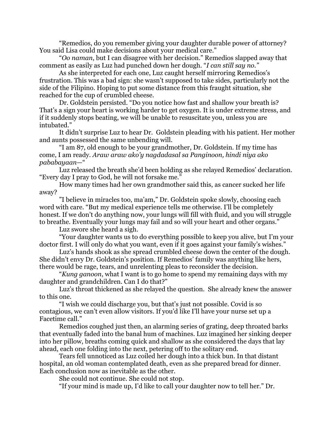"Remedios, do you remember giving your daughter durable power of attorney? You said Lisa could make decisions about your medical care."

"*Oo naman*, but I can disagree with her decision." Remedios slapped away that comment as easily as Luz had punched down her dough. "*I can still say no."*

As she interpreted for each one, Luz caught herself mirroring Remedios's frustration. This was a bad sign: she wasn't supposed to take sides, particularly not the side of the Filipino. Hoping to put some distance from this fraught situation, she reached for the cup of crumbled cheese.

Dr. Goldstein persisted. "Do you notice how fast and shallow your breath is? That's a sign your heart is working harder to get oxygen. It is under extreme stress, and if it suddenly stops beating, we will be unable to resuscitate you, unless you are intubated."

It didn't surprise Luz to hear Dr. Goldstein pleading with his patient. Her mother and aunts possessed the same unbending will.

"I am 87, old enough to be your grandmother, Dr. Goldstein. If my time has come, I am ready. *Araw araw ako'y nagdadasal sa Panginoon, hindi niya ako pababayaan*—"

Luz released the breath she'd been holding as she relayed Remedios' declaration. "Every day I pray to God, he will not forsake me."

How many times had her own grandmother said this, as cancer sucked her life away?

"I believe in miracles too, ma'am," Dr. Goldstein spoke slowly, choosing each word with care. "But my medical experience tells me otherwise. I'll be completely honest. If we don't do anything now, your lungs will fill with fluid, and you will struggle to breathe. Eventually your lungs may fail and so will your heart and other organs."

Luz swore she heard a sigh.

"Your daughter wants us to do everything possible to keep you alive, but I'm your doctor first. I will only do what you want, even if it goes against your family's wishes."

Luz's hands shook as she spread crumbled cheese down the center of the dough. She didn't envy Dr. Goldstein's position. If Remedios' family was anything like hers, there would be rage, tears, and unrelenting pleas to reconsider the decision.

"*Kung ganoon*, what I want is to go home to spend my remaining days with my daughter and grandchildren. Can I do that?"

Luz's throat thickened as she relayed the question. She already knew the answer to this one.

"I wish we could discharge you, but that's just not possible. Covid is so contagious, we can't even allow visitors. If you'd like I'll have your nurse set up a Facetime call."

Remedios coughed just then, an alarming series of grating, deep throated barks that eventually faded into the banal hum of machines. Luz imagined her sinking deeper into her pillow, breaths coming quick and shallow as she considered the days that lay ahead, each one folding into the next, petering off to the solitary end.

Tears fell unnoticed as Luz coiled her dough into a thick bun. In that distant hospital, an old woman contemplated death, even as she prepared bread for dinner. Each conclusion now as inevitable as the other.

She could not continue. She could not stop.

"If your mind is made up, I'd like to call your daughter now to tell her." Dr.